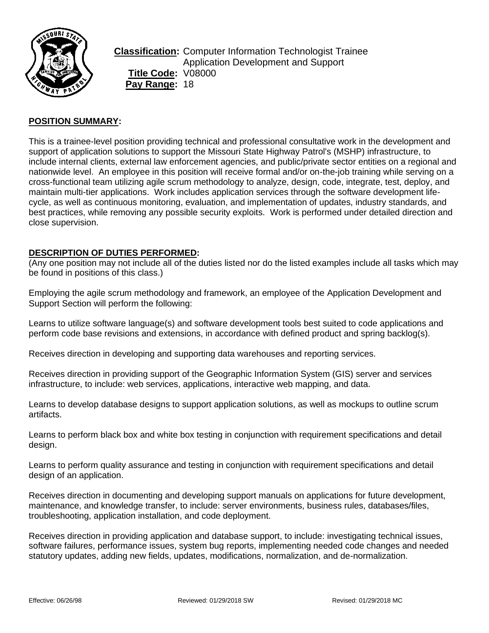

**Classification:** Computer Information Technologist Trainee Application Development and Support **Title Code:** V08000 **Pay Range:** 18

## **POSITION SUMMARY:**

This is a trainee-level position providing technical and professional consultative work in the development and support of application solutions to support the Missouri State Highway Patrol's (MSHP) infrastructure, to include internal clients, external law enforcement agencies, and public/private sector entities on a regional and nationwide level. An employee in this position will receive formal and/or on-the-job training while serving on a cross-functional team utilizing agile scrum methodology to analyze, design, code, integrate, test, deploy, and maintain multi-tier applications. Work includes application services through the software development lifecycle, as well as continuous monitoring, evaluation, and implementation of updates, industry standards, and best practices, while removing any possible security exploits. Work is performed under detailed direction and close supervision.

#### **DESCRIPTION OF DUTIES PERFORMED:**

(Any one position may not include all of the duties listed nor do the listed examples include all tasks which may be found in positions of this class.)

Employing the agile scrum methodology and framework, an employee of the Application Development and Support Section will perform the following:

Learns to utilize software language(s) and software development tools best suited to code applications and perform code base revisions and extensions, in accordance with defined product and spring backlog(s).

Receives direction in developing and supporting data warehouses and reporting services.

Receives direction in providing support of the Geographic Information System (GIS) server and services infrastructure, to include: web services, applications, interactive web mapping, and data.

Learns to develop database designs to support application solutions, as well as mockups to outline scrum artifacts.

Learns to perform black box and white box testing in conjunction with requirement specifications and detail design.

Learns to perform quality assurance and testing in conjunction with requirement specifications and detail design of an application.

Receives direction in documenting and developing support manuals on applications for future development, maintenance, and knowledge transfer, to include: server environments, business rules, databases/files, troubleshooting, application installation, and code deployment.

Receives direction in providing application and database support, to include: investigating technical issues, software failures, performance issues, system bug reports, implementing needed code changes and needed statutory updates, adding new fields, updates, modifications, normalization, and de-normalization.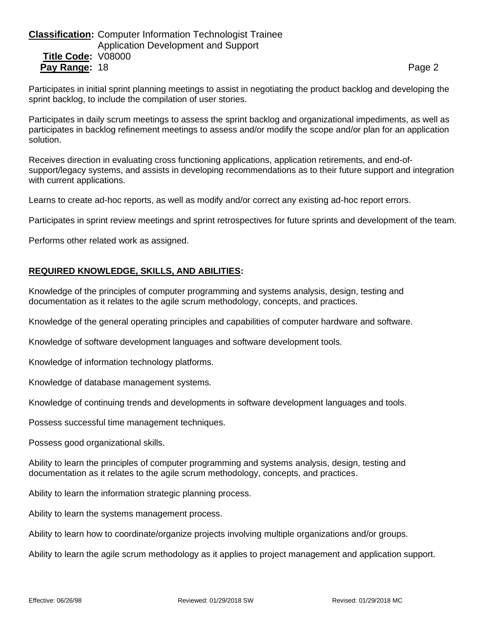# **Classification:** Computer Information Technologist Trainee Application Development and Support **Title Code:** V08000 **Pay Range:** 18 **Page 2 Page 2 Page 2 Page 2 Page 2 Page 2 Page 2**

Participates in initial sprint planning meetings to assist in negotiating the product backlog and developing the sprint backlog, to include the compilation of user stories.

Participates in daily scrum meetings to assess the sprint backlog and organizational impediments, as well as participates in backlog refinement meetings to assess and/or modify the scope and/or plan for an application solution.

Receives direction in evaluating cross functioning applications, application retirements, and end-ofsupport/legacy systems, and assists in developing recommendations as to their future support and integration with current applications.

Learns to create ad-hoc reports, as well as modify and/or correct any existing ad-hoc report errors.

Participates in sprint review meetings and sprint retrospectives for future sprints and development of the team.

Performs other related work as assigned.

# **REQUIRED KNOWLEDGE, SKILLS, AND ABILITIES:**

Knowledge of the principles of computer programming and systems analysis, design, testing and documentation as it relates to the agile scrum methodology, concepts, and practices.

Knowledge of the general operating principles and capabilities of computer hardware and software.

Knowledge of software development languages and software development tools.

Knowledge of information technology platforms.

Knowledge of database management systems.

Knowledge of continuing trends and developments in software development languages and tools.

Possess successful time management techniques.

Possess good organizational skills.

Ability to learn the principles of computer programming and systems analysis, design, testing and documentation as it relates to the agile scrum methodology, concepts, and practices.

Ability to learn the information strategic planning process.

Ability to learn the systems management process.

Ability to learn how to coordinate/organize projects involving multiple organizations and/or groups.

Ability to learn the agile scrum methodology as it applies to project management and application support.